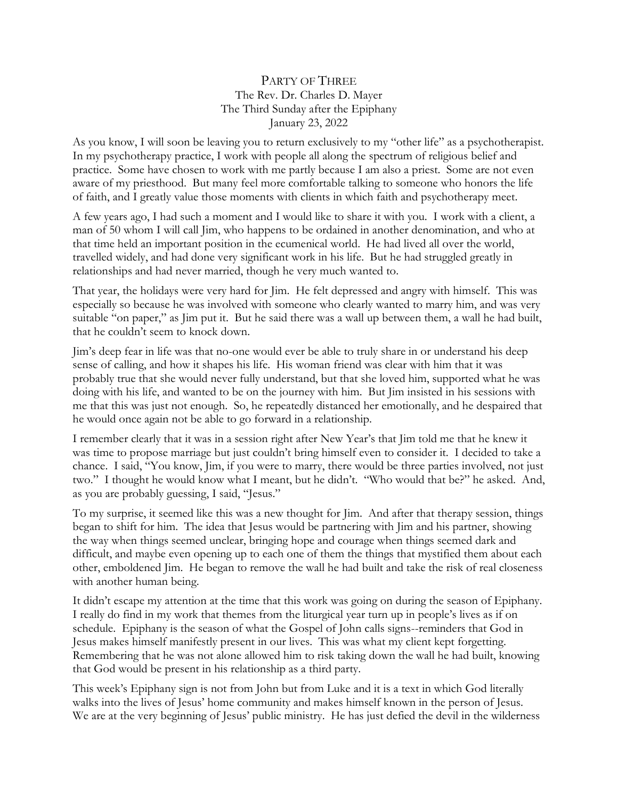## PARTY OF THREE The Rev. Dr. Charles D. Mayer The Third Sunday after the Epiphany January 23, 2022

As you know, I will soon be leaving you to return exclusively to my "other life" as a psychotherapist. In my psychotherapy practice, I work with people all along the spectrum of religious belief and practice. Some have chosen to work with me partly because I am also a priest. Some are not even aware of my priesthood. But many feel more comfortable talking to someone who honors the life of faith, and I greatly value those moments with clients in which faith and psychotherapy meet.

A few years ago, I had such a moment and I would like to share it with you. I work with a client, a man of 50 whom I will call Jim, who happens to be ordained in another denomination, and who at that time held an important position in the ecumenical world. He had lived all over the world, travelled widely, and had done very significant work in his life. But he had struggled greatly in relationships and had never married, though he very much wanted to.

That year, the holidays were very hard for Jim. He felt depressed and angry with himself. This was especially so because he was involved with someone who clearly wanted to marry him, and was very suitable "on paper," as Jim put it. But he said there was a wall up between them, a wall he had built, that he couldn't seem to knock down.

Jim's deep fear in life was that no-one would ever be able to truly share in or understand his deep sense of calling, and how it shapes his life. His woman friend was clear with him that it was probably true that she would never fully understand, but that she loved him, supported what he was doing with his life, and wanted to be on the journey with him. But Jim insisted in his sessions with me that this was just not enough. So, he repeatedly distanced her emotionally, and he despaired that he would once again not be able to go forward in a relationship.

I remember clearly that it was in a session right after New Year's that Jim told me that he knew it was time to propose marriage but just couldn't bring himself even to consider it. I decided to take a chance. I said, "You know, Jim, if you were to marry, there would be three parties involved, not just two." I thought he would know what I meant, but he didn't. "Who would that be?" he asked. And, as you are probably guessing, I said, "Jesus."

To my surprise, it seemed like this was a new thought for Jim. And after that therapy session, things began to shift for him. The idea that Jesus would be partnering with Jim and his partner, showing the way when things seemed unclear, bringing hope and courage when things seemed dark and difficult, and maybe even opening up to each one of them the things that mystified them about each other, emboldened Jim. He began to remove the wall he had built and take the risk of real closeness with another human being.

It didn't escape my attention at the time that this work was going on during the season of Epiphany. I really do find in my work that themes from the liturgical year turn up in people's lives as if on schedule. Epiphany is the season of what the Gospel of John calls signs--reminders that God in Jesus makes himself manifestly present in our lives. This was what my client kept forgetting. Remembering that he was not alone allowed him to risk taking down the wall he had built, knowing that God would be present in his relationship as a third party.

This week's Epiphany sign is not from John but from Luke and it is a text in which God literally walks into the lives of Jesus' home community and makes himself known in the person of Jesus. We are at the very beginning of Jesus' public ministry. He has just defied the devil in the wilderness